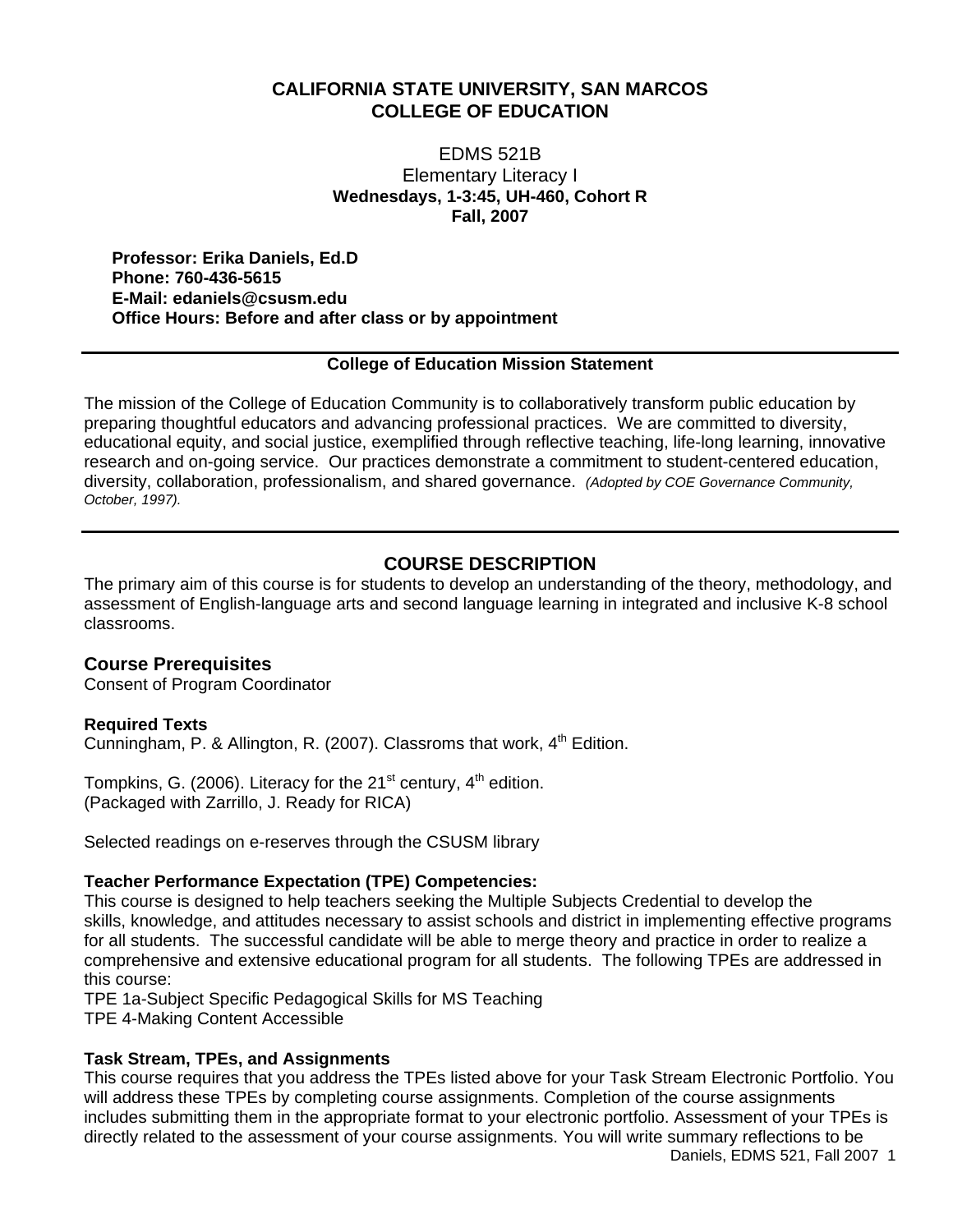# **CALIFORNIA STATE UNIVERSITY, SAN MARCOS COLLEGE OF EDUCATION**

EDMS 521B Elementary Literacy I **Wednesdays, 1-3:45, UH-460, Cohort R Fall, 2007** 

**Professor: Erika Daniels, Ed.D Phone: 760-436-5615 E-Mail: edaniels@csusm.edu Office Hours: Before and after class or by appointment**

## **College of Education Mission Statement**

The mission of the College of Education Community is to collaboratively transform public education by preparing thoughtful educators and advancing professional practices. We are committed to diversity, educational equity, and social justice, exemplified through reflective teaching, life-long learning, innovative research and on-going service. Our practices demonstrate a commitment to student-centered education, diversity, collaboration, professionalism, and shared governance. *(Adopted by COE Governance Community, October, 1997).* 

## **COURSE DESCRIPTION**

The primary aim of this course is for students to develop an understanding of the theory, methodology, and assessment of English-language arts and second language learning in integrated and inclusive K-8 school classrooms.

### **Course Prerequisites**

Consent of Program Coordinator

### **Required Texts**

Cunningham, P. & Allington, R. (2007). Classroms that work,  $4<sup>th</sup>$  Edition.

Tompkins, G. (2006). Literacy for the 21<sup>st</sup> century,  $4<sup>th</sup>$  edition. (Packaged with Zarrillo, J. Ready for RICA)

Selected readings on e-reserves through the CSUSM library

### **Teacher Performance Expectation (TPE) Competencies:**

This course is designed to help teachers seeking the Multiple Subjects Credential to develop the skills, knowledge, and attitudes necessary to assist schools and district in implementing effective programs for all students. The successful candidate will be able to merge theory and practice in order to realize a comprehensive and extensive educational program for all students. The following TPEs are addressed in this course:

TPE 1a-Subject Specific Pedagogical Skills for MS Teaching TPE 4-Making Content Accessible

### **Task Stream, TPEs, and Assignments**

This course requires that you address the TPEs listed above for your Task Stream Electronic Portfolio. You will address these TPEs by completing course assignments. Completion of the course assignments includes submitting them in the appropriate format to your electronic portfolio. Assessment of your TPEs is directly related to the assessment of your course assignments. You will write summary reflections to be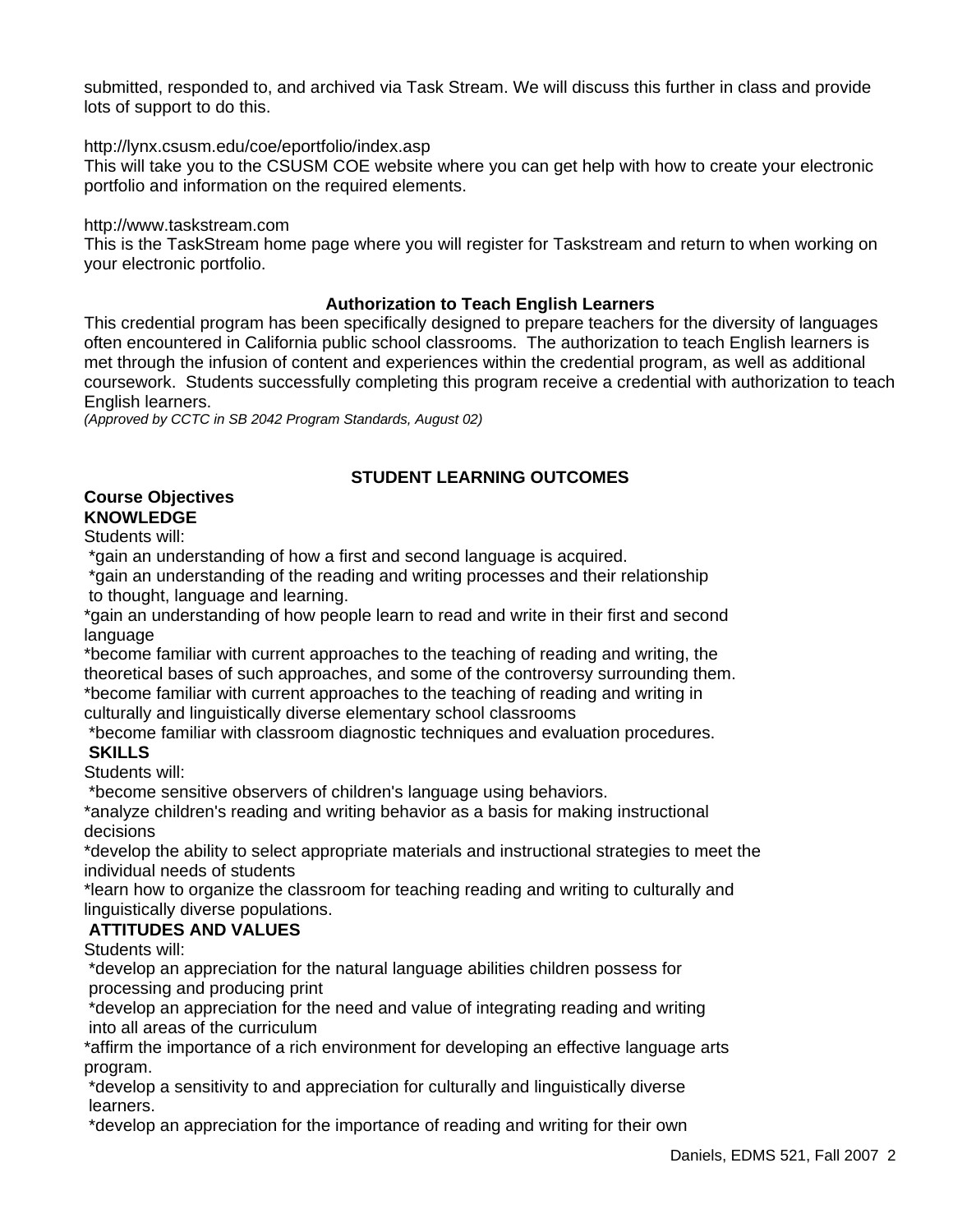submitted, responded to, and archived via Task Stream. We will discuss this further in class and provide lots of support to do this.

http://lynx.csusm.edu/coe/eportfolio/index.asp

This will take you to the CSUSM COE website where you can get help with how to create your electronic portfolio and information on the required elements.

http://www.taskstream.com

This is the TaskStream home page where you will register for Taskstream and return to when working on your electronic portfolio.

### **Authorization to Teach English Learners**

This credential program has been specifically designed to prepare teachers for the diversity of languages often encountered in California public school classrooms. The authorization to teach English learners is met through the infusion of content and experiences within the credential program, as well as additional coursework. Students successfully completing this program receive a credential with authorization to teach English learners.

*(Approved by CCTC in SB 2042 Program Standards, August 02)*

## **STUDENT LEARNING OUTCOMES**

### **Course Objectives KNOWLEDGE**

Students will:

\*gain an understanding of how a first and second language is acquired.

 \*gain an understanding of the reading and writing processes and their relationship to thought, language and learning.

\*gain an understanding of how people learn to read and write in their first and second language

\*become familiar with current approaches to the teaching of reading and writing, the theoretical bases of such approaches, and some of the controversy surrounding them. \*become familiar with current approaches to the teaching of reading and writing in culturally and linguistically diverse elementary school classrooms

\*become familiar with classroom diagnostic techniques and evaluation procedures.

## **SKILLS**

Students will:

\*become sensitive observers of children's language using behaviors.

\*analyze children's reading and writing behavior as a basis for making instructional decisions

\*develop the ability to select appropriate materials and instructional strategies to meet the individual needs of students

\*learn how to organize the classroom for teaching reading and writing to culturally and linguistically diverse populations.

## **ATTITUDES AND VALUES**

Students will:

 \*develop an appreciation for the natural language abilities children possess for processing and producing print

 \*develop an appreciation for the need and value of integrating reading and writing into all areas of the curriculum

\*affirm the importance of a rich environment for developing an effective language arts program.

 \*develop a sensitivity to and appreciation for culturally and linguistically diverse learners.

\*develop an appreciation for the importance of reading and writing for their own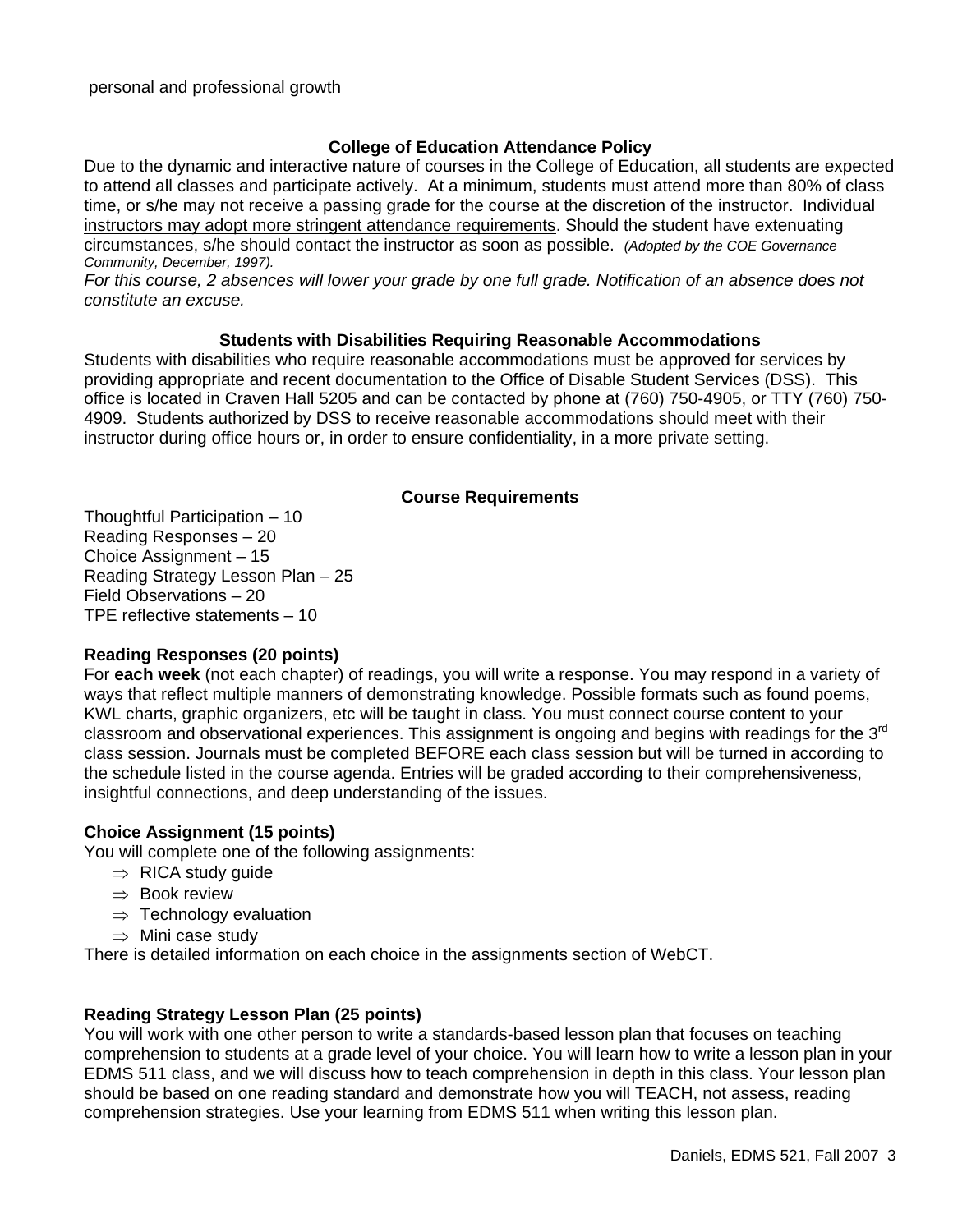## **College of Education Attendance Policy**

Due to the dynamic and interactive nature of courses in the College of Education, all students are expected to attend all classes and participate actively. At a minimum, students must attend more than 80% of class time, or s/he may not receive a passing grade for the course at the discretion of the instructor. Individual instructors may adopt more stringent attendance requirements. Should the student have extenuating circumstances, s/he should contact the instructor as soon as possible. *(Adopted by the COE Governance Community, December, 1997).*

*For this course, 2 absences will lower your grade by one full grade. Notification of an absence does not constitute an excuse.*

### **Students with Disabilities Requiring Reasonable Accommodations**

Students with disabilities who require reasonable accommodations must be approved for services by providing appropriate and recent documentation to the Office of Disable Student Services (DSS). This office is located in Craven Hall 5205 and can be contacted by phone at (760) 750-4905, or TTY (760) 750- 4909. Students authorized by DSS to receive reasonable accommodations should meet with their instructor during office hours or, in order to ensure confidentiality, in a more private setting.

### **Course Requirements**

Thoughtful Participation – 10 Reading Responses – 20 Choice Assignment – 15 Reading Strategy Lesson Plan – 25 Field Observations – 20 TPE reflective statements – 10

## **Reading Responses (20 points)**

For **each week** (not each chapter) of readings, you will write a response. You may respond in a variety of ways that reflect multiple manners of demonstrating knowledge. Possible formats such as found poems, KWL charts, graphic organizers, etc will be taught in class. You must connect course content to your classroom and observational experiences. This assignment is ongoing and begins with readings for the  $3<sup>rd</sup>$ class session. Journals must be completed BEFORE each class session but will be turned in according to the schedule listed in the course agenda. Entries will be graded according to their comprehensiveness, insightful connections, and deep understanding of the issues.

## **Choice Assignment (15 points)**

You will complete one of the following assignments:

- $\Rightarrow$  RICA study guide
- ⇒ Book review
- $\Rightarrow$  Technology evaluation
- $\Rightarrow$  Mini case study

There is detailed information on each choice in the assignments section of WebCT.

## **Reading Strategy Lesson Plan (25 points)**

You will work with one other person to write a standards-based lesson plan that focuses on teaching comprehension to students at a grade level of your choice. You will learn how to write a lesson plan in your EDMS 511 class, and we will discuss how to teach comprehension in depth in this class. Your lesson plan should be based on one reading standard and demonstrate how you will TEACH, not assess, reading comprehension strategies. Use your learning from EDMS 511 when writing this lesson plan.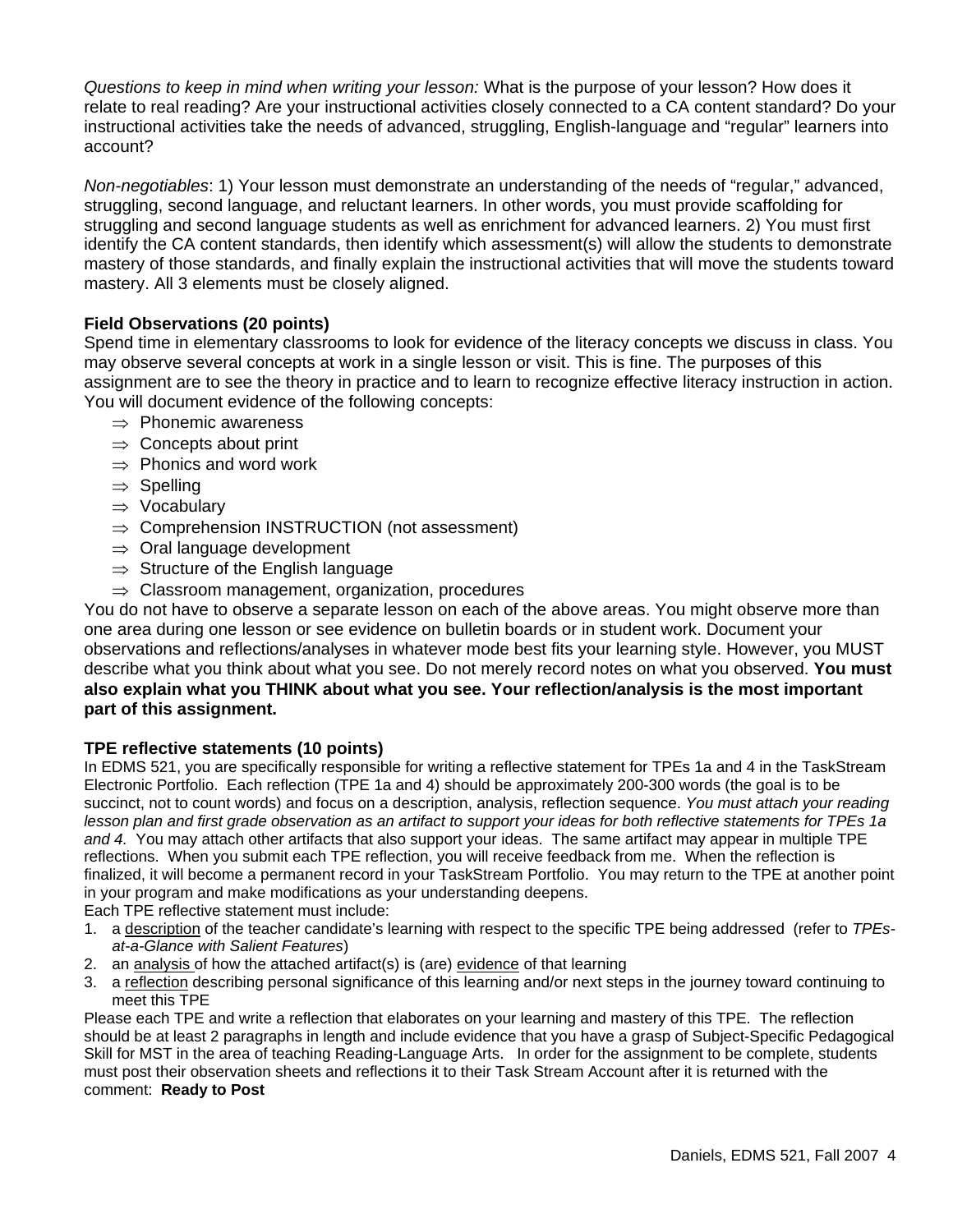*Questions to keep in mind when writing your lesson:* What is the purpose of your lesson? How does it relate to real reading? Are your instructional activities closely connected to a CA content standard? Do your instructional activities take the needs of advanced, struggling, English-language and "regular" learners into account?

*Non-negotiables*: 1) Your lesson must demonstrate an understanding of the needs of "regular," advanced, struggling, second language, and reluctant learners. In other words, you must provide scaffolding for struggling and second language students as well as enrichment for advanced learners. 2) You must first identify the CA content standards, then identify which assessment(s) will allow the students to demonstrate mastery of those standards, and finally explain the instructional activities that will move the students toward mastery. All 3 elements must be closely aligned.

## **Field Observations (20 points)**

Spend time in elementary classrooms to look for evidence of the literacy concepts we discuss in class. You may observe several concepts at work in a single lesson or visit. This is fine. The purposes of this assignment are to see the theory in practice and to learn to recognize effective literacy instruction in action. You will document evidence of the following concepts:

- ⇒ Phonemic awareness
- $\Rightarrow$  Concepts about print
- $\Rightarrow$  Phonics and word work
- ⇒ Spelling
- ⇒ Vocabulary
- $\Rightarrow$  Comprehension INSTRUCTION (not assessment)
- $\Rightarrow$  Oral language development
- $\Rightarrow$  Structure of the English language
- $\Rightarrow$  Classroom management, organization, procedures

You do not have to observe a separate lesson on each of the above areas. You might observe more than one area during one lesson or see evidence on bulletin boards or in student work. Document your observations and reflections/analyses in whatever mode best fits your learning style. However, you MUST describe what you think about what you see. Do not merely record notes on what you observed. **You must also explain what you THINK about what you see. Your reflection/analysis is the most important part of this assignment.** 

### **TPE reflective statements (10 points)**

In EDMS 521, you are specifically responsible for writing a reflective statement for TPEs 1a and 4 in the TaskStream Electronic Portfolio. Each reflection (TPE 1a and 4) should be approximately 200-300 words (the goal is to be succinct, not to count words) and focus on a description, analysis, reflection sequence. *You must attach your reading lesson plan and first grade observation as an artifact to support your ideas for both reflective statements for TPEs 1a and 4.* You may attach other artifacts that also support your ideas. The same artifact may appear in multiple TPE reflections. When you submit each TPE reflection, you will receive feedback from me. When the reflection is finalized, it will become a permanent record in your TaskStream Portfolio. You may return to the TPE at another point in your program and make modifications as your understanding deepens.

Each TPE reflective statement must include:

- 1. a description of the teacher candidate's learning with respect to the specific TPE being addressed (refer to *TPEsat-a-Glance with Salient Features*)
- 2. an analysis of how the attached artifact(s) is (are) evidence of that learning
- 3. a reflection describing personal significance of this learning and/or next steps in the journey toward continuing to meet this TPE

Please each TPE and write a reflection that elaborates on your learning and mastery of this TPE. The reflection should be at least 2 paragraphs in length and include evidence that you have a grasp of Subject-Specific Pedagogical Skill for MST in the area of teaching Reading-Language Arts. In order for the assignment to be complete, students must post their observation sheets and reflections it to their Task Stream Account after it is returned with the comment: **Ready to Post**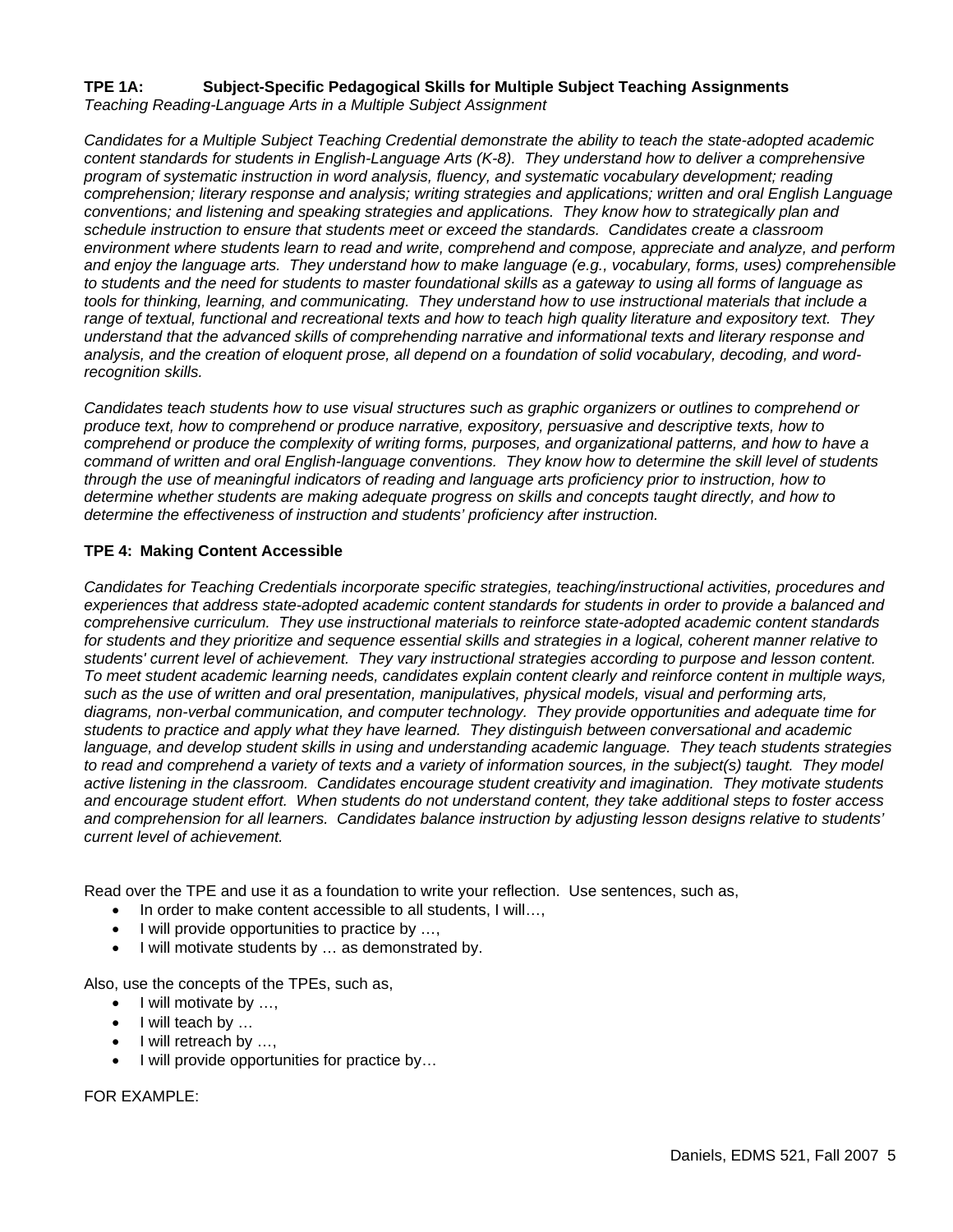### **TPE 1A: Subject-Specific Pedagogical Skills for Multiple Subject Teaching Assignments**  *Teaching Reading-Language Arts in a Multiple Subject Assignment*

*Candidates for a Multiple Subject Teaching Credential demonstrate the ability to teach the state-adopted academic content standards for students in English-Language Arts (K-8). They understand how to deliver a comprehensive program of systematic instruction in word analysis, fluency, and systematic vocabulary development; reading comprehension; literary response and analysis; writing strategies and applications; written and oral English Language conventions; and listening and speaking strategies and applications. They know how to strategically plan and schedule instruction to ensure that students meet or exceed the standards. Candidates create a classroom environment where students learn to read and write, comprehend and compose, appreciate and analyze, and perform and enjoy the language arts. They understand how to make language (e.g., vocabulary, forms, uses) comprehensible to students and the need for students to master foundational skills as a gateway to using all forms of language as tools for thinking, learning, and communicating. They understand how to use instructional materials that include a range of textual, functional and recreational texts and how to teach high quality literature and expository text. They understand that the advanced skills of comprehending narrative and informational texts and literary response and analysis, and the creation of eloquent prose, all depend on a foundation of solid vocabulary, decoding, and wordrecognition skills.* 

*Candidates teach students how to use visual structures such as graphic organizers or outlines to comprehend or produce text, how to comprehend or produce narrative, expository, persuasive and descriptive texts, how to comprehend or produce the complexity of writing forms, purposes, and organizational patterns, and how to have a command of written and oral English-language conventions. They know how to determine the skill level of students through the use of meaningful indicators of reading and language arts proficiency prior to instruction, how to determine whether students are making adequate progress on skills and concepts taught directly, and how to determine the effectiveness of instruction and students' proficiency after instruction.*

### **TPE 4: Making Content Accessible**

*Candidates for Teaching Credentials incorporate specific strategies, teaching/instructional activities, procedures and*  experiences that address state-adopted academic content standards for students in order to provide a balanced and *comprehensive curriculum. They use instructional materials to reinforce state-adopted academic content standards for students and they prioritize and sequence essential skills and strategies in a logical, coherent manner relative to students' current level of achievement. They vary instructional strategies according to purpose and lesson content. To meet student academic learning needs, candidates explain content clearly and reinforce content in multiple ways, such as the use of written and oral presentation, manipulatives, physical models, visual and performing arts, diagrams, non-verbal communication, and computer technology. They provide opportunities and adequate time for students to practice and apply what they have learned. They distinguish between conversational and academic language, and develop student skills in using and understanding academic language. They teach students strategies*  to read and comprehend a variety of texts and a variety of information sources, in the subject(s) taught. They model *active listening in the classroom. Candidates encourage student creativity and imagination. They motivate students and encourage student effort. When students do not understand content, they take additional steps to foster access and comprehension for all learners. Candidates balance instruction by adjusting lesson designs relative to students' current level of achievement.* 

Read over the TPE and use it as a foundation to write your reflection. Use sentences, such as,

- In order to make content accessible to all students, I will...,
- I will provide opportunities to practice by ...,
- I will motivate students by … as demonstrated by.

Also, use the concepts of the TPEs, such as,

- I will motivate by ...,
- I will teach by …
- I will retreach by …,
- I will provide opportunities for practice by...

FOR EXAMPLE: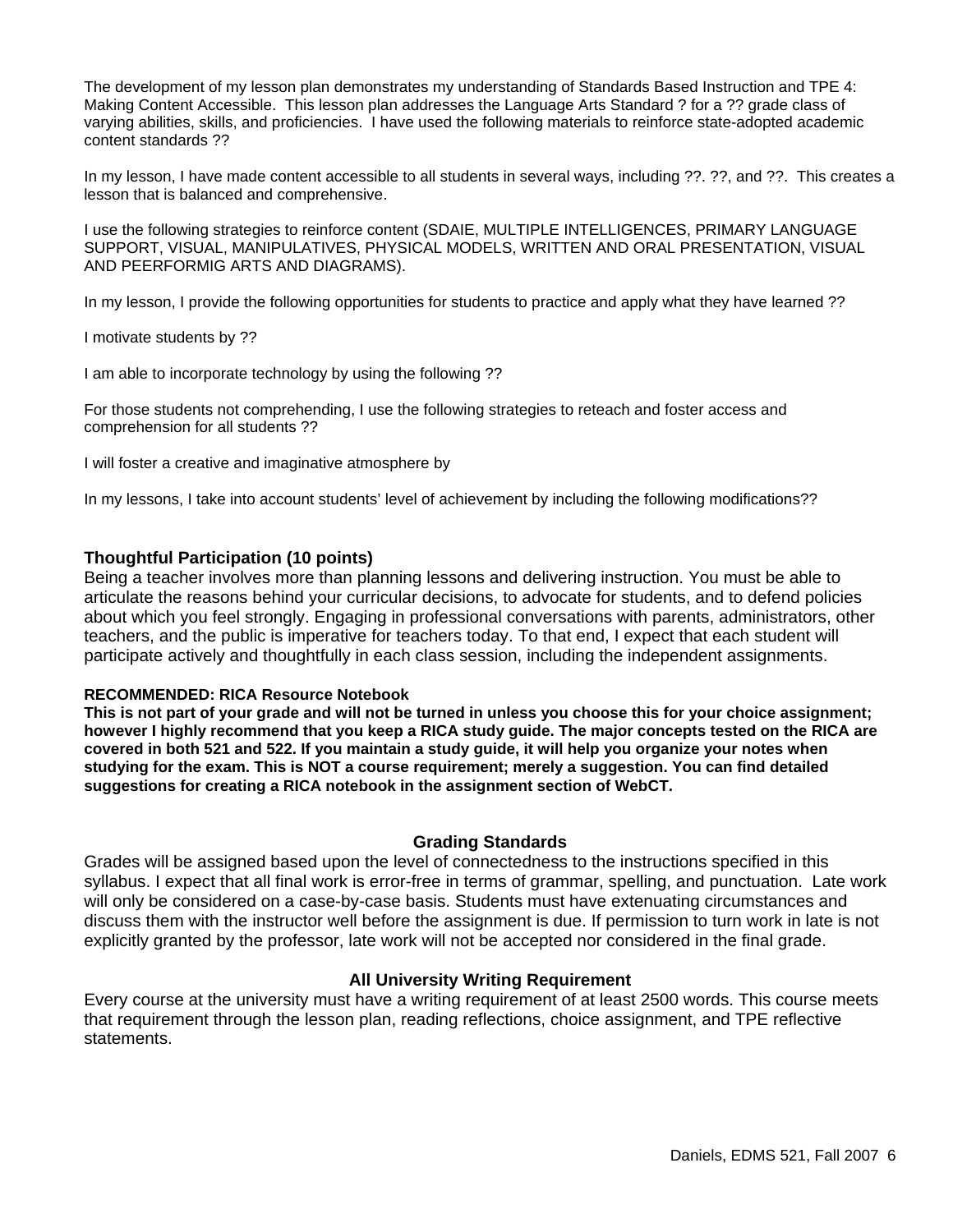The development of my lesson plan demonstrates my understanding of Standards Based Instruction and TPE 4: Making Content Accessible. This lesson plan addresses the Language Arts Standard ? for a ?? grade class of varying abilities, skills, and proficiencies. I have used the following materials to reinforce state-adopted academic content standards ??

In my lesson, I have made content accessible to all students in several ways, including ??. ??, and ??. This creates a lesson that is balanced and comprehensive.

I use the following strategies to reinforce content (SDAIE, MULTIPLE INTELLIGENCES, PRIMARY LANGUAGE SUPPORT, VISUAL, MANIPULATIVES, PHYSICAL MODELS, WRITTEN AND ORAL PRESENTATION, VISUAL AND PEERFORMIG ARTS AND DIAGRAMS).

In my lesson, I provide the following opportunities for students to practice and apply what they have learned ??

I motivate students by ??

I am able to incorporate technology by using the following ??

For those students not comprehending, I use the following strategies to reteach and foster access and comprehension for all students ??

I will foster a creative and imaginative atmosphere by

In my lessons, I take into account students' level of achievement by including the following modifications??

### **Thoughtful Participation (10 points)**

Being a teacher involves more than planning lessons and delivering instruction. You must be able to articulate the reasons behind your curricular decisions, to advocate for students, and to defend policies about which you feel strongly. Engaging in professional conversations with parents, administrators, other teachers, and the public is imperative for teachers today. To that end, I expect that each student will participate actively and thoughtfully in each class session, including the independent assignments.

### **RECOMMENDED: RICA Resource Notebook**

**This is not part of your grade and will not be turned in unless you choose this for your choice assignment; however I highly recommend that you keep a RICA study guide. The major concepts tested on the RICA are covered in both 521 and 522. If you maintain a study guide, it will help you organize your notes when studying for the exam. This is NOT a course requirement; merely a suggestion. You can find detailed suggestions for creating a RICA notebook in the assignment section of WebCT.** 

### **Grading Standards**

Grades will be assigned based upon the level of connectedness to the instructions specified in this syllabus. I expect that all final work is error-free in terms of grammar, spelling, and punctuation. Late work will only be considered on a case-by-case basis. Students must have extenuating circumstances and discuss them with the instructor well before the assignment is due. If permission to turn work in late is not explicitly granted by the professor, late work will not be accepted nor considered in the final grade.

### **All University Writing Requirement**

Every course at the university must have a writing requirement of at least 2500 words. This course meets that requirement through the lesson plan, reading reflections, choice assignment, and TPE reflective statements.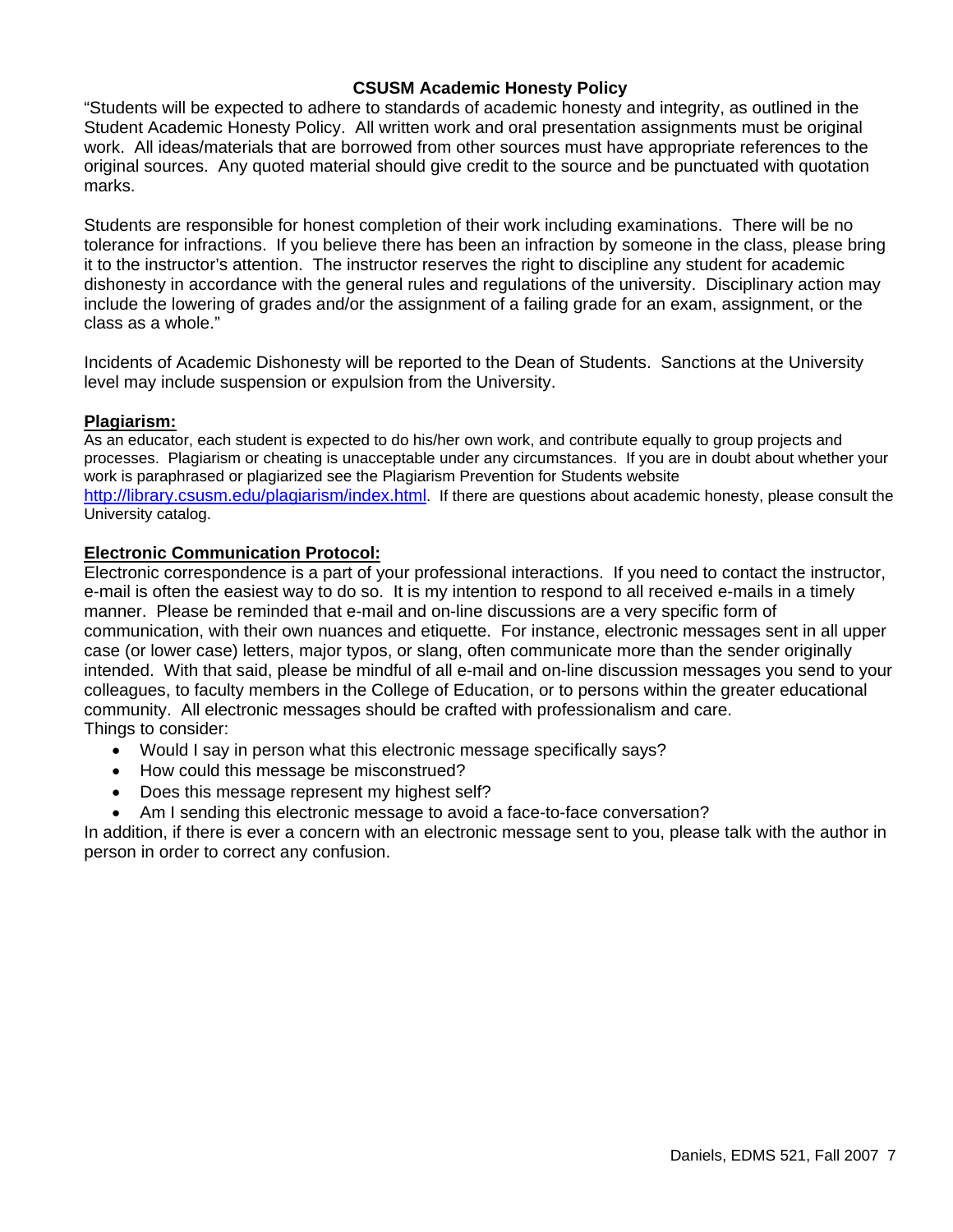### **CSUSM Academic Honesty Policy**

"Students will be expected to adhere to standards of academic honesty and integrity, as outlined in the Student Academic Honesty Policy. All written work and oral presentation assignments must be original work. All ideas/materials that are borrowed from other sources must have appropriate references to the original sources. Any quoted material should give credit to the source and be punctuated with quotation marks.

Students are responsible for honest completion of their work including examinations. There will be no tolerance for infractions. If you believe there has been an infraction by someone in the class, please bring it to the instructor's attention. The instructor reserves the right to discipline any student for academic dishonesty in accordance with the general rules and regulations of the university. Disciplinary action may include the lowering of grades and/or the assignment of a failing grade for an exam, assignment, or the class as a whole."

Incidents of Academic Dishonesty will be reported to the Dean of Students. Sanctions at the University level may include suspension or expulsion from the University.

### **Plagiarism:**

As an educator, each student is expected to do his/her own work, and contribute equally to group projects and processes. Plagiarism or cheating is unacceptable under any circumstances. If you are in doubt about whether your work is paraphrased or plagiarized see the Plagiarism Prevention for Students website http://library.csusm.edu/plagiarism/index.html. If there are questions about academic honesty, please consult the University catalog.

### **Electronic Communication Protocol:**

Electronic correspondence is a part of your professional interactions. If you need to contact the instructor, e-mail is often the easiest way to do so. It is my intention to respond to all received e-mails in a timely manner. Please be reminded that e-mail and on-line discussions are a very specific form of communication, with their own nuances and etiquette. For instance, electronic messages sent in all upper case (or lower case) letters, major typos, or slang, often communicate more than the sender originally intended. With that said, please be mindful of all e-mail and on-line discussion messages you send to your colleagues, to faculty members in the College of Education, or to persons within the greater educational community. All electronic messages should be crafted with professionalism and care. Things to consider:

- Would I say in person what this electronic message specifically says?
- How could this message be misconstrued?
- Does this message represent my highest self?
- Am I sending this electronic message to avoid a face-to-face conversation?

In addition, if there is ever a concern with an electronic message sent to you, please talk with the author in person in order to correct any confusion.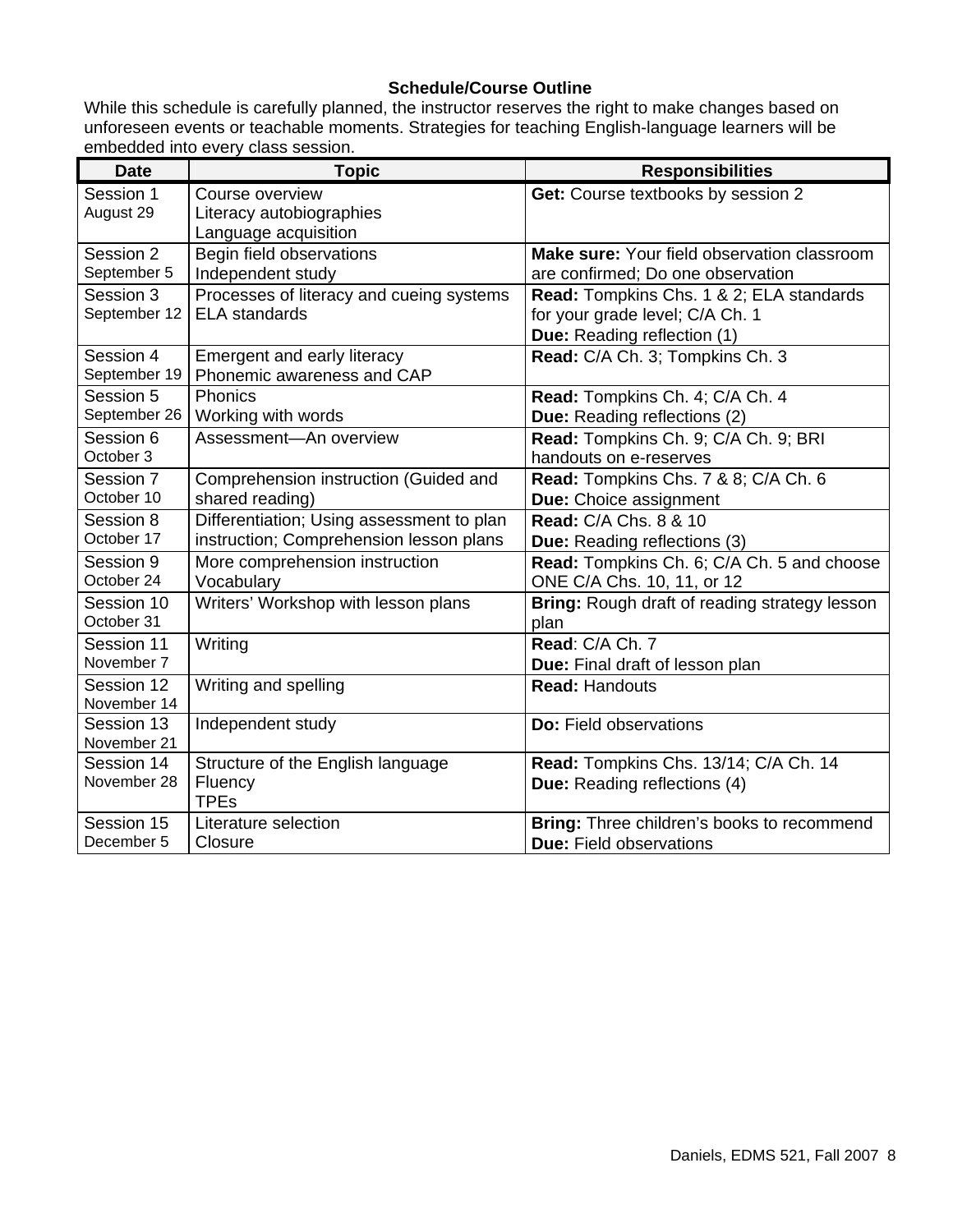# **Schedule/Course Outline**

While this schedule is carefully planned, the instructor reserves the right to make changes based on unforeseen events or teachable moments. Strategies for teaching English-language learners will be embedded into every class session.

| <b>Date</b>  | <b>Topic</b>                              | <b>Responsibilities</b>                       |  |
|--------------|-------------------------------------------|-----------------------------------------------|--|
| Session 1    | Course overview                           | Get: Course textbooks by session 2            |  |
| August 29    | Literacy autobiographies                  |                                               |  |
|              | Language acquisition                      |                                               |  |
| Session 2    | Begin field observations                  | Make sure: Your field observation classroom   |  |
| September 5  | Independent study                         | are confirmed; Do one observation             |  |
| Session 3    | Processes of literacy and cueing systems  | Read: Tompkins Chs. 1 & 2; ELA standards      |  |
| September 12 | <b>ELA</b> standards                      | for your grade level; C/A Ch. 1               |  |
|              |                                           | Due: Reading reflection (1)                   |  |
| Session 4    | Emergent and early literacy               | Read: C/A Ch. 3; Tompkins Ch. 3               |  |
| September 19 | Phonemic awareness and CAP                |                                               |  |
| Session 5    | Phonics                                   | Read: Tompkins Ch. 4; C/A Ch. 4               |  |
| September 26 | Working with words                        | <b>Due:</b> Reading reflections (2)           |  |
| Session 6    | Assessment-An overview                    | Read: Tompkins Ch. 9; C/A Ch. 9; BRI          |  |
| October 3    |                                           | handouts on e-reserves                        |  |
| Session 7    | Comprehension instruction (Guided and     | Read: Tompkins Chs. 7 & 8; C/A Ch. 6          |  |
| October 10   | shared reading)                           | Due: Choice assignment                        |  |
| Session 8    | Differentiation; Using assessment to plan | <b>Read: C/A Chs. 8 &amp; 10</b>              |  |
| October 17   | instruction; Comprehension lesson plans   | <b>Due:</b> Reading reflections (3)           |  |
| Session 9    | More comprehension instruction            | Read: Tompkins Ch. 6; C/A Ch. 5 and choose    |  |
| October 24   | Vocabulary                                | ONE C/A Chs. 10, 11, or 12                    |  |
| Session 10   | Writers' Workshop with lesson plans       | Bring: Rough draft of reading strategy lesson |  |
| October 31   |                                           | plan                                          |  |
| Session 11   | Writing                                   | Read: C/A Ch. 7                               |  |
| November 7   |                                           | Due: Final draft of lesson plan               |  |
| Session 12   | Writing and spelling                      | <b>Read: Handouts</b>                         |  |
| November 14  |                                           |                                               |  |
| Session 13   | Independent study                         | <b>Do:</b> Field observations                 |  |
| November 21  |                                           |                                               |  |
| Session 14   | Structure of the English language         | Read: Tompkins Chs. 13/14; C/A Ch. 14         |  |
| November 28  | Fluency                                   | <b>Due:</b> Reading reflections (4)           |  |
|              | <b>TPEs</b>                               |                                               |  |
| Session 15   | Literature selection                      | Bring: Three children's books to recommend    |  |
| December 5   | Closure                                   | <b>Due: Field observations</b>                |  |